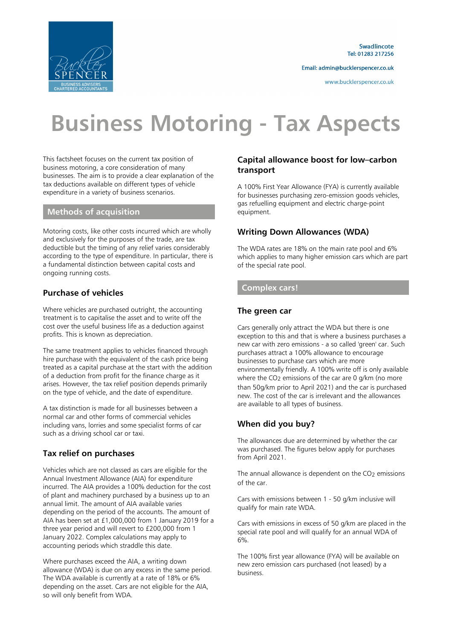

Swadlincote Tel: 01283 217256

Email: admin@bucklerspencer.co.uk

www.bucklerspencer.co.uk

# **Business Motoring - Tax Aspects**

This factsheet focuses on the current tax position of business motoring, a core consideration of many businesses. The aim is to provide a clear explanation of the tax deductions available on different types of vehicle expenditure in a variety of business scenarios.

#### **Methods of acquisition**

Motoring costs, like other costs incurred which are wholly and exclusively for the purposes of the trade, are tax deductible but the timing of any relief varies considerably according to the type of expenditure. In particular, there is a fundamental distinction between capital costs and ongoing running costs.

## **Purchase of vehicles**

Where vehicles are purchased outright, the accounting treatment is to capitalise the asset and to write off the cost over the useful business life as a deduction against profits. This is known as depreciation.

The same treatment applies to vehicles financed through hire purchase with the equivalent of the cash price being treated as a capital purchase at the start with the addition of a deduction from profit for the finance charge as it arises. However, the tax relief position depends primarily on the type of vehicle, and the date of expenditure.

A tax distinction is made for all businesses between a normal car and other forms of commercial vehicles including vans, lorries and some specialist forms of car such as a driving school car or taxi.

## **Tax relief on purchases**

Vehicles which are not classed as cars are eligible for the Annual Investment Allowance (AIA) for expenditure incurred. The AIA provides a 100% deduction for the cost of plant and machinery purchased by a business up to an annual limit. The amount of AIA available varies depending on the period of the accounts. The amount of AIA has been set at £1,000,000 from 1 January 2019 for a three year period and will revert to £200,000 from 1 January 2022. Complex calculations may apply to accounting periods which straddle this date.

Where purchases exceed the AIA, a writing down allowance (WDA) is due on any excess in the same period. The WDA available is currently at a rate of 18% or 6% depending on the asset. Cars are not eligible for the AIA, so will only benefit from WDA.

#### **Capital allowance boost for low–carbon transport**

A 100% First Year Allowance (FYA) is currently available for businesses purchasing zero-emission goods vehicles, gas refuelling equipment and electric charge-point equipment.

## **Writing Down Allowances (WDA)**

The WDA rates are 18% on the main rate pool and 6% which applies to many higher emission cars which are part of the special rate pool.

#### **Complex cars!**

#### **The green car**

Cars generally only attract the WDA but there is one exception to this and that is where a business purchases a new car with zero emissions - a so called 'green' car. Such purchases attract a 100% allowance to encourage businesses to purchase cars which are more environmentally friendly. A 100% write off is only available where the CO<sub>2</sub> emissions of the car are 0 g/km (no more than 50g/km prior to April 2021) and the car is purchased new. The cost of the car is irrelevant and the allowances are available to all types of business.

## **When did you buy?**

The allowances due are determined by whether the car was purchased. The figures below apply for purchases from April 2021.

The annual allowance is dependent on the  $CO<sub>2</sub>$  emissions of the car.

Cars with emissions between 1 - 50 g/km inclusive will qualify for main rate WDA.

Cars with emissions in excess of 50 g/km are placed in the special rate pool and will qualify for an annual WDA of 6%.

The 100% first year allowance (FYA) will be available on new zero emission cars purchased (not leased) by a business.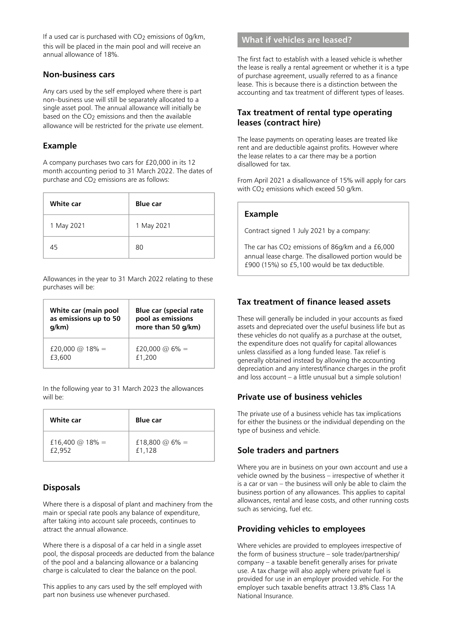If a used car is purchased with CO<sub>2</sub> emissions of 0g/km, this will be placed in the main pool and will receive an annual allowance of 18%.

#### **Non-business cars**

Any cars used by the self employed where there is part non–business use will still be separately allocated to a single asset pool. The annual allowance will initially be based on the  $CO<sub>2</sub>$  emissions and then the available allowance will be restricted for the private use element.

## **Example**

A company purchases two cars for £20,000 in its 12 month accounting period to 31 March 2022. The dates of purchase and  $CO<sub>2</sub>$  emissions are as follows:

| White car  | <b>Blue</b> car |
|------------|-----------------|
| 1 May 2021 | 1 May 2021      |
| 45         | 80              |

Allowances in the year to 31 March 2022 relating to these purchases will be:

| White car (main pool  | <b>Blue car (special rate</b> |
|-----------------------|-------------------------------|
| as emissions up to 50 | pool as emissions             |
| g/km)                 | more than 50 g/km)            |
| £20,000 @ 18% =       | £20,000 @ 6% =                |
| £3,600                | £1,200                        |

In the following year to 31 March 2023 the allowances will be:

| White car       | <b>Blue</b> car |
|-----------------|-----------------|
| £16,400 @ 18% = | £18,800 @ 6% =  |
| £2,952          | £1,128          |

## **Disposals**

Where there is a disposal of plant and machinery from the main or special rate pools any balance of expenditure, after taking into account sale proceeds, continues to attract the annual allowance.

Where there is a disposal of a car held in a single asset pool, the disposal proceeds are deducted from the balance of the pool and a balancing allowance or a balancing charge is calculated to clear the balance on the pool.

This applies to any cars used by the self employed with part non business use whenever purchased.

# **What if vehicles are leased?**

The first fact to establish with a leased vehicle is whether the lease is really a rental agreement or whether it is a type of purchase agreement, usually referred to as a finance lease. This is because there is a distinction between the accounting and tax treatment of different types of leases.

## **Tax treatment of rental type operating leases (contract hire)**

The lease payments on operating leases are treated like rent and are deductible against profits. However where the lease relates to a car there may be a portion disallowed for tax.

From April 2021 a disallowance of 15% will apply for cars with  $CO<sub>2</sub>$  emissions which exceed 50 g/km.

#### **Example**

Contract signed 1 July 2021 by a company:

The car has CO<sub>2</sub> emissions of 86g/km and a £6,000 annual lease charge. The disallowed portion would be £900 (15%) so £5,100 would be tax deductible.

# **Tax treatment of finance leased assets**

These will generally be included in your accounts as fixed assets and depreciated over the useful business life but as these vehicles do not qualify as a purchase at the outset, the expenditure does not qualify for capital allowances unless classified as a long funded lease. Tax relief is generally obtained instead by allowing the accounting depreciation and any interest/finance charges in the profit and loss account – a little unusual but a simple solution!

## **Private use of business vehicles**

The private use of a business vehicle has tax implications for either the business or the individual depending on the type of business and vehicle.

#### **Sole traders and partners**

Where you are in business on your own account and use a vehicle owned by the business – irrespective of whether it is a car or van – the business will only be able to claim the business portion of any allowances. This applies to capital allowances, rental and lease costs, and other running costs such as servicing, fuel etc.

## **Providing vehicles to employees**

Where vehicles are provided to employees irrespective of the form of business structure – sole trader/partnership/ company – a taxable benefit generally arises for private use. A tax charge will also apply where private fuel is provided for use in an employer provided vehicle. For the employer such taxable benefits attract 13.8% Class 1A National Insurance.